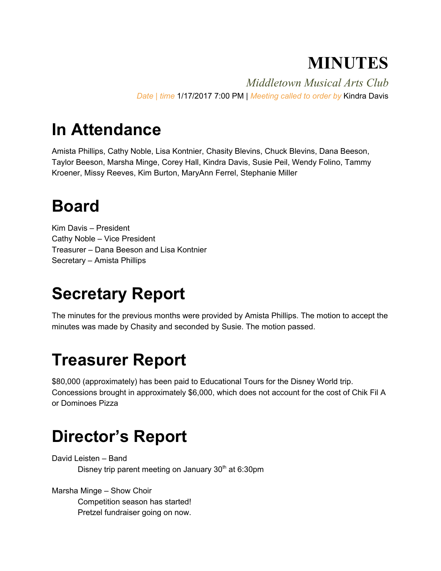## **MINUTES**

*Middletown Musical Arts Club Date | time* 1/17/2017 7:00 PM | *Meeting called to order by* Kindra Davis

# **In Attendance**

Amista Phillips, Cathy Noble, Lisa Kontnier, Chasity Blevins, Chuck Blevins, Dana Beeson, Taylor Beeson, Marsha Minge, Corey Hall, Kindra Davis, Susie Peil, Wendy Folino, Tammy Kroener, Missy Reeves, Kim Burton, MaryAnn Ferrel, Stephanie Miller

# **Board**

Kim Davis – President Cathy Noble – Vice President Treasurer – Dana Beeson and Lisa Kontnier Secretary – Amista Phillips

# **Secretary Report**

The minutes for the previous months were provided by Amista Phillips. The motion to accept the minutes was made by Chasity and seconded by Susie. The motion passed.

## **Treasurer Report**

\$80,000 (approximately) has been paid to Educational Tours for the Disney World trip. Concessions brought in approximately \$6,000, which does not account for the cost of Chik Fil A or Dominoes Pizza

## **Director's Report**

David Leisten – Band Disney trip parent meeting on January 30<sup>th</sup> at 6:30pm

Marsha Minge – Show Choir Competition season has started! Pretzel fundraiser going on now.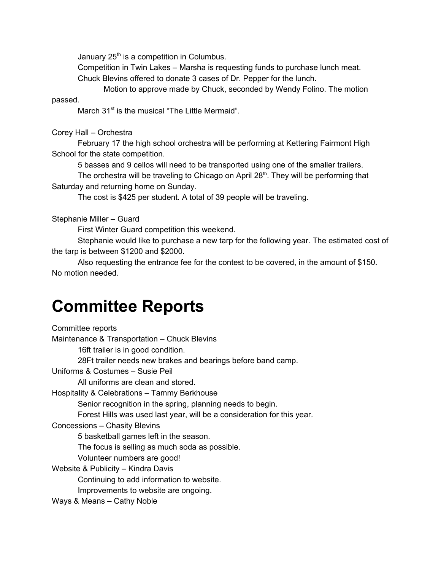January 25<sup>th</sup> is a competition in Columbus.

Competition in Twin Lakes – Marsha is requesting funds to purchase lunch meat. Chuck Blevins offered to donate 3 cases of Dr. Pepper for the lunch.

Motion to approve made by Chuck, seconded by Wendy Folino. The motion passed.

March 31<sup>st</sup> is the musical "The Little Mermaid".

Corey Hall – Orchestra

February 17 the high school orchestra will be performing at Kettering Fairmont High School for the state competition.

5 basses and 9 cellos will need to be transported using one of the smaller trailers.

The orchestra will be traveling to Chicago on April 28<sup>th</sup>. They will be performing that Saturday and returning home on Sunday.

The cost is \$425 per student. A total of 39 people will be traveling.

Stephanie Miller – Guard

First Winter Guard competition this weekend.

Stephanie would like to purchase a new tarp for the following year. The estimated cost of the tarp is between \$1200 and \$2000.

Also requesting the entrance fee for the contest to be covered, in the amount of \$150. No motion needed.

#### **Committee Reports**

Committee reports Maintenance & Transportation – Chuck Blevins 16ft trailer is in good condition. 28Ft trailer needs new brakes and bearings before band camp. Uniforms & Costumes – Susie Peil All uniforms are clean and stored. Hospitality & Celebrations – Tammy Berkhouse Senior recognition in the spring, planning needs to begin. Forest Hills was used last year, will be a consideration for this year. Concessions – Chasity Blevins 5 basketball games left in the season. The focus is selling as much soda as possible. Volunteer numbers are good! Website & Publicity – Kindra Davis Continuing to add information to website. Improvements to website are ongoing. Ways & Means – Cathy Noble